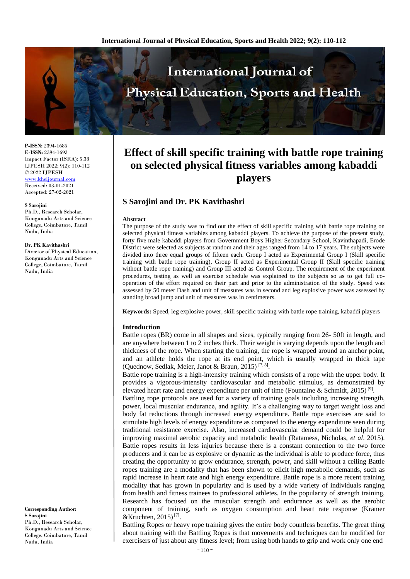

**P-ISSN:** 2394-1685 **E-ISSN:** 2394-1693 Impact Factor (ISRA): 5.38 IJPESH 2022; 9(2): 110-112 © 2022 IJPESH

[www.kheljournal.com](http://www.kheljournal.com/) Received: 03-01-2021 Accepted: 27-02-2021

#### **S Sarojini**

Ph.D., Research Scholar, Kongunadu Arts and Science College, Coimbatore, Tamil Nadu, India

#### **Dr. PK Kavithashri**

Director of Physical Education, Kongunadu Arts and Science College, Coimbatore, Tamil Nadu, India

**Corresponding Author: S Sarojini**  Ph.D., Research Scholar, Kongunadu Arts and Science College, Coimbatore, Tamil Nadu, India

# **Effect of skill specific training with battle rope training on selected physical fitness variables among kabaddi players**

# **S Sarojini and Dr. PK Kavithashri**

#### **Abstract**

The purpose of the study was to find out the effect of skill specific training with battle rope training on selected physical fitness variables among kabaddi players. To achieve the purpose of the present study, forty five male kabaddi players from Government Boys Higher Secondary School, Kavinthapadi, Erode District were selected as subjects at random and their ages ranged from 14 to 17 years. The subjects were divided into three equal groups of fifteen each. Group I acted as Experimental Group I (Skill specific training with battle rope training), Group II acted as Experimental Group II (Skill specific training without battle rope training) and Group III acted as Control Group. The requirement of the experiment procedures, testing as well as exercise schedule was explained to the subjects so as to get full cooperation of the effort required on their part and prior to the administration of the study. Speed was assessed by 50 meter Dash and unit of measures was in second and leg explosive power was assessed by standing broad jump and unit of measures was in centimeters.

**Keywords:** Speed, leg explosive power, skill specific training with battle rope training, kabaddi players

#### **Introduction**

Battle ropes (BR) come in all shapes and sizes, typically ranging from 26- 50ft in length, and are anywhere between 1 to 2 inches thick. Their weight is varying depends upon the length and thickness of the rope. When starting the training, the rope is wrapped around an anchor point, and an athlete holds the rope at its end point, which is usually wrapped in thick tape (Quednow, Sedlak, Meier, Janot & Braun, 2015)<sup>[7, 8]</sup>.

Battle rope training is a high-intensity training which consists of a rope with the upper body. It provides a vigorous-intensity cardiovascular and metabolic stimulus, as demonstrated by elevated heart rate and energy expenditure per unit of time (Fountaine & Schmidt, 2015)<sup>[9]</sup>.

Battling rope protocols are used for a variety of training goals including increasing strength, power, local muscular endurance, and agility. It's a challenging way to target weight loss and body fat reductions through increased energy expenditure. Battle rope exercises are said to stimulate high levels of energy expenditure as compared to the energy expenditure seen during traditional resistance exercise. Also, increased cardiovascular demand could be helpful for improving maximal aerobic capacity and metabolic health (Ratamess, Nicholas, *et al*. 2015). Battle ropes results in less injuries because there is a constant connection to the two force producers and it can be as explosive or dynamic as the individual is able to produce force, thus creating the opportunity to grow endurance, strength, power, and skill without a ceiling Battle ropes training are a modality that has been shown to elicit high metabolic demands, such as rapid increase in heart rate and high energy expenditure. Battle rope is a more recent training modality that has grown in popularity and is used by a wide variety of individuals ranging from health and fitness trainees to professional athletes. In the popularity of strength training, Research has focused on the muscular strength and endurance as well as the aerobic component of training, such as oxygen consumption and heart rate response (Kramer &Kruchten,  $2015$ <sup>[7]</sup>.

Battling Ropes or heavy rope training gives the entire body countless benefits. The great thing about training with the Battling Ropes is that movements and techniques can be modified for exercisers of just about any fitness level; from using both hands to grip and work only one end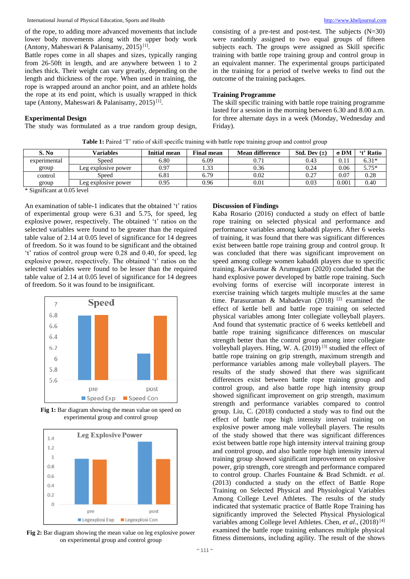of the rope, to adding more advanced movements that include lower body movements along with the upper body work (Antony, Maheswari & Palanisamy, 2015)<sup>[1]</sup>.

Battle ropes come in all shapes and sizes, typically ranging from 26-50ft in length, and are anywhere between 1 to 2 inches thick. Their weight can vary greatly, depending on the length and thickness of the rope. When used in training, the rope is wrapped around an anchor point, and an athlete holds the rope at its end point, which is usually wrapped in thick tape (Antony, Maheswari & Palanisamy, 2015)<sup>[1]</sup>.

#### **Experimental Design**

The study was formulated as a true random group design,

consisting of a pre-test and post-test. The subjects  $(N=30)$ were randomly assigned to two equal groups of fifteen subjects each. The groups were assigned as Skill specific training with battle rope training group and control group in an equivalent manner. The experimental groups participated in the training for a period of twelve weeks to find out the outcome of the training packages.

## **Training Programme**

The skill specific training with battle rope training programme lasted for a session in the morning between 6.30 and 8.00 a.m. for three alternate days in a week (Monday, Wednesday and Friday).

| Table 1: Paired 'T' ratio of skill specific training with battle rope training group and control group |  |
|--------------------------------------------------------------------------------------------------------|--|
|--------------------------------------------------------------------------------------------------------|--|

| S. No                                                                                | <b>Variables</b>    | <b>Initial mean</b> | <b>Final mean</b> | <b>Mean difference</b> | Std. Dev $(\pm)$ | σDM   | <b>t' Ratio</b> |
|--------------------------------------------------------------------------------------|---------------------|---------------------|-------------------|------------------------|------------------|-------|-----------------|
| experimental                                                                         | Speed               | 6.80                | 6.09              | 0.71                   | 0.43             | 0.11  | $6.31*$         |
| group                                                                                | Leg explosive power | 0.97                | 1.33              | 0.36                   | 0.24             | 0.06  | $5.75*$         |
| control                                                                              | Speed               | 6.81                | 6.79              | 0.02                   | 0.27             | 0.07  | 0.28            |
| group                                                                                | Leg explosive power | 0.95                | 0.96              | $0.01\,$               | 0.03             | 0.001 | 0.40            |
| $\cdots$ $\sim$<br>$\sim$ $\sim$<br>$\sim$ $\sim$ $\sim$ $\sim$ $\sim$ $\sim$ $\sim$ |                     |                     |                   |                        |                  |       |                 |

\* Significant at 0.05 level

An examination of table-1 indicates that the obtained 't' ratios of experimental group were 6.31 and 5.75, for speed, leg explosive power, respectively. The obtained 't' ratios on the selected variables were found to be greater than the required table value of 2.14 at 0.05 level of significance for 14 degrees of freedom. So it was found to be significant and the obtained 't' ratios of control group were 0.28 and 0.40, for speed, leg explosive power, respectively. The obtained 't' ratios on the selected variables were found to be lesser than the required table value of 2.14 at 0.05 level of significance for 14 degrees of freedom. So it was found to be insignificant.



Fig 1: Bar diagram showing the mean value on speed on experimental group and control group



**Fig 2:** Bar diagram showing the mean value on leg explosive power on experimental group and control group

#### **Discussion of Findings**

Kaba Rosario (2016) conducted a study on effect of battle rope training on selected physical and performance and performance variables among kabaddi players. After 6 weeks of training, it was found that there was significant differences exist between battle rope training group and control group. It was concluded that there was significant improvement on speed among college women kabaddi players due to specific training. Kavikumar & Arumugam (2020) concluded that the hand explosive power developed by battle rope training. Such evolving forms of exercise will incorporate interest in exercise training which targets multiple muscles at the same time. Parasuraman & Mahadevan (2018) [2] examined the effect of kettle bell and battle rope training on selected physical variables among Inter collegiate volleyball players. And found that systematic practice of 6 weeks kettlebell and battle rope training significance differences on muscular strength better than the control group among inter collegiate volleyball players. Hing, W. A. (2019) [3] studied the effect of battle rope training on grip strength, maximum strength and performance variables among male volleyball players. The results of the study showed that there was significant differences exist between battle rope training group and control group, and also battle rope high intensity group showed significant improvement on grip strength, maximum strength and performance variables compared to control group. Liu, C. (2018) conducted a study was to find out the effect of battle rope high intensity interval training on explosive power among male volleyball players. The results of the study showed that there was significant differences exist between battle rope high intensity interval training group and control group, and also battle rope high intensity interval training group showed significant improvement on explosive power, grip strength, core strength and performance compared to control group. Charles Fountaine & Brad Schmidt. *et al*. (2013) conducted a study on the effect of Battle Rope Training on Selected Physical and Physiological Variables Among College Level Athletes. The results of the study indicated that systematic practice of Battle Rope Training has significantly improved the Selected Physical Physiological variables among College level Athletes. Chen, *et al*., (2018) [4] examined the battle rope training enhances multiple physical fitness dimensions, including agility. The result of the shows